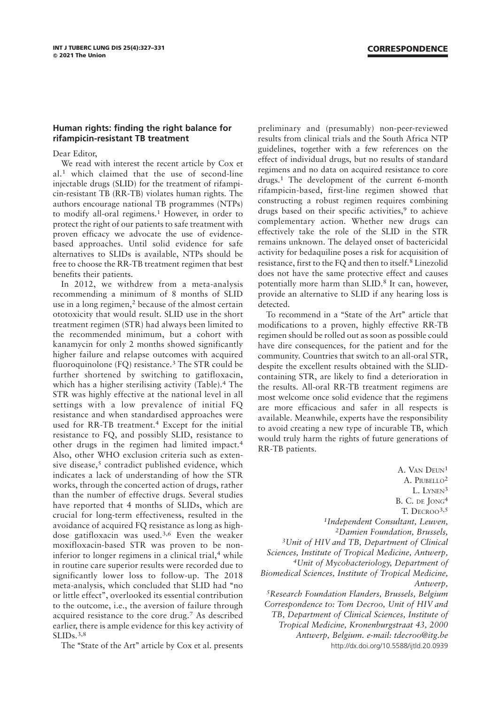## Human rights: finding the right balance for rifampicin-resistant TB treatment

Dear Editor,

We read with interest the recent article by Cox et al.<sup>1</sup> which claimed that the use of second-line injectable drugs (SLID) for the treatment of rifampicin-resistant TB (RR-TB) violates human rights. The authors encourage national TB programmes (NTPs) to modify all-oral regimens.<sup>1</sup> However, in order to protect the right of our patients to safe treatment with proven efficacy we advocate the use of evidencebased approaches. Until solid evidence for safe alternatives to SLIDs is available, NTPs should be free to choose the RR-TB treatment regimen that best benefits their patients.

In 2012, we withdrew from a meta-analysis recommending a minimum of 8 months of SLID use in a long regimen,<sup>2</sup> because of the almost certain ototoxicity that would result. SLID use in the short treatment regimen (STR) had always been limited to the recommended minimum, but a cohort with kanamycin for only 2 months showed significantly higher failure and relapse outcomes with acquired fluoroquinolone (FQ) resistance.<sup>3</sup> The STR could be further shortened by switching to gatifloxacin, which has a higher sterilising activity (Table).<sup>4</sup> The STR was highly effective at the national level in all settings with a low prevalence of initial FQ resistance and when standardised approaches were used for RR-TB treatment.<sup>4</sup> Except for the initial resistance to FQ, and possibly SLID, resistance to other drugs in the regimen had limited impact.<sup>4</sup> Also, other WHO exclusion criteria such as extensive disease, $5$  contradict published evidence, which indicates a lack of understanding of how the STR works, through the concerted action of drugs, rather than the number of effective drugs. Several studies have reported that 4 months of SLIDs, which are crucial for long-term effectiveness, resulted in the avoidance of acquired FQ resistance as long as highdose gatifloxacin was used.3,6 Even the weaker moxifloxacin-based STR was proven to be noninferior to longer regimens in a clinical trial,<sup>4</sup> while in routine care superior results were recorded due to significantly lower loss to follow-up. The 2018 meta-analysis, which concluded that SLID had ''no or little effect'', overlooked its essential contribution to the outcome, i.e., the aversion of failure through acquired resistance to the core drug.<sup>7</sup> As described earlier, there is ample evidence for this key activity of SLID<sub>s.</sub>3,8

The "State of the Art" article by Cox et al. presents

preliminary and (presumably) non-peer-reviewed results from clinical trials and the South Africa NTP guidelines, together with a few references on the effect of individual drugs, but no results of standard regimens and no data on acquired resistance to core drugs.<sup>1</sup> The development of the current 6-month rifampicin-based, first-line regimen showed that constructing a robust regimen requires combining drugs based on their specific activities,<sup>9</sup> to achieve complementary action. Whether new drugs can effectively take the role of the SLID in the STR remains unknown. The delayed onset of bactericidal activity for bedaquiline poses a risk for acquisition of resistance, first to the FQ and then to itself.<sup>8</sup> Linezolid does not have the same protective effect and causes potentially more harm than SLID.8 It can, however, provide an alternative to SLID if any hearing loss is detected.

To recommend in a "State of the Art" article that modifications to a proven, highly effective RR-TB regimen should be rolled out as soon as possible could have dire consequences, for the patient and for the community. Countries that switch to an all-oral STR, despite the excellent results obtained with the SLIDcontaining STR, are likely to find a deterioration in the results. All-oral RR-TB treatment regimens are most welcome once solid evidence that the regimens are more efficacious and safer in all respects is available. Meanwhile, experts have the responsibility to avoid creating a new type of incurable TB, which would truly harm the rights of future generations of RR-TB patients.

A. VAN DEUN<sup>1</sup> A. PIUBELLO<sup>2</sup> L. LYNEN<sup>3</sup> B. C. DE JONG<sup>4</sup> T. DECROO3,5 1Independent Consultant, Leuven, 2Damien Foundation, Brussels, 3Unit of HIV and TB, Department of Clinical Sciences, Institute of Tropical Medicine, Antwerp, 4Unit of Mycobacteriology, Department of Biomedical Sciences, Institute of Tropical Medicine, Antwerp, 5Research Foundation Flanders, Brussels, Belgium Correspondence to: Tom Decroo, Unit of HIV and TB, Department of Clinical Sciences, Institute of Tropical Medicine, Kronenburgstraat 43, 2000 Antwerp, Belgium. e-mail: tdecroo@itg.be http://dx.doi.org/10.5588/ijtld.20.0939